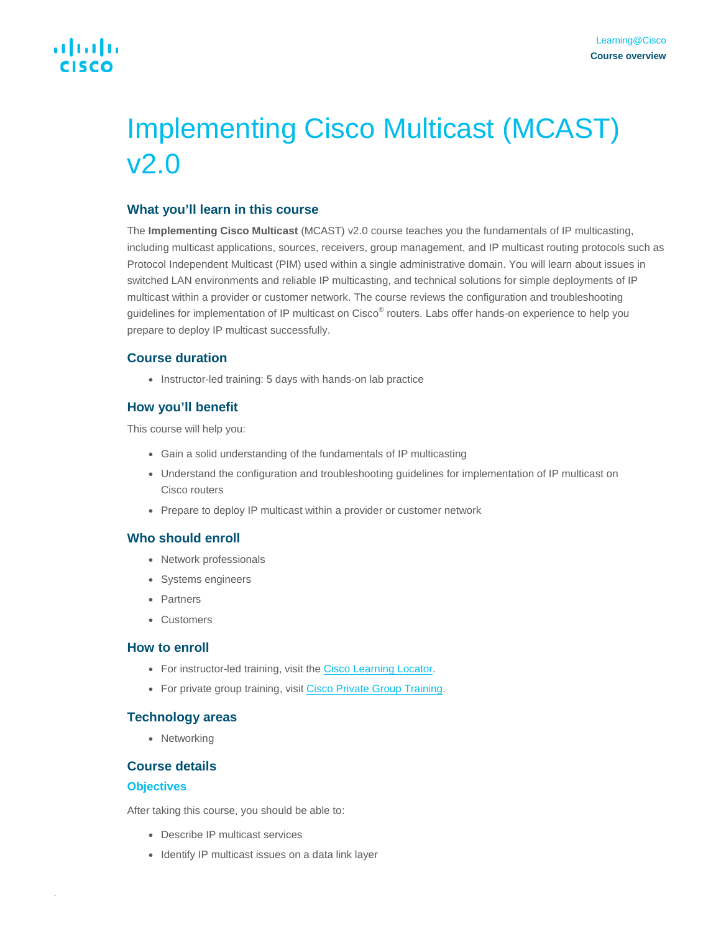# Implementing Cisco Multicast (MCAST) v2.0

### **What you'll learn in this course**

The **Implementing Cisco Multicast** (MCAST) v2.0 course teaches you the fundamentals of IP multicasting, including multicast applications, sources, receivers, group management, and IP multicast routing protocols such as Protocol Independent Multicast (PIM) used within a single administrative domain. You will learn about issues in switched LAN environments and reliable IP multicasting, and technical solutions for simple deployments of IP multicast within a provider or customer network. The course reviews the configuration and troubleshooting guidelines for implementation of IP multicast on Cisco® routers. Labs offer hands-on experience to help you prepare to deploy IP multicast successfully.

## **Course duration**

• Instructor-led training: 5 days with hands-on lab practice

## **How you'll benefit**

This course will help you:

- Gain a solid understanding of the fundamentals of IP multicasting
- Understand the configuration and troubleshooting guidelines for implementation of IP multicast on Cisco routers
- Prepare to deploy IP multicast within a provider or customer network

## **Who should enroll**

- Network professionals
- Systems engineers
- Partners
- Customers

#### **How to enroll**

- For instructor-led training, visit the [Cisco Learning Locator.](https://tools.cisco.com/GlobalLearningLocator/courseDetails.do?actionType=executeCourseDetail&courseID=8615)
- For private group training, visit [Cisco Private Group Training.](https://www.cisco.com/c/en/us/training-events/resources/training-services/technology/private-group-training.html)

#### **Technology areas**

● Networking

#### **Course details**

#### **Objectives**

.

After taking this course, you should be able to:

- Describe IP multicast services
- Identify IP multicast issues on a data link layer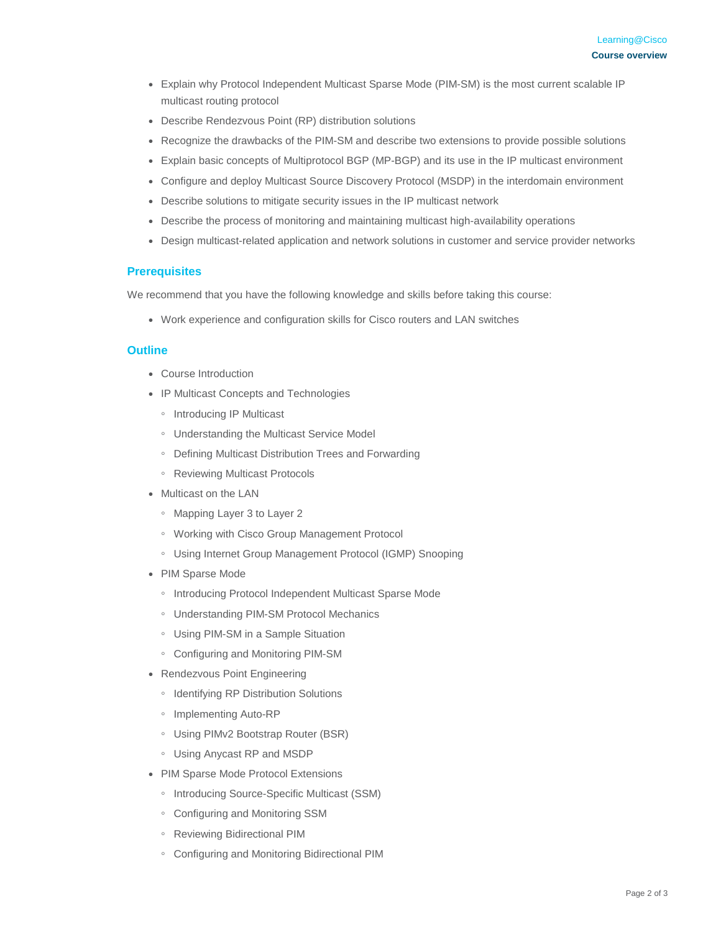- Explain why Protocol Independent Multicast Sparse Mode (PIM-SM) is the most current scalable IP multicast routing protocol
- Describe Rendezvous Point (RP) distribution solutions
- Recognize the drawbacks of the PIM-SM and describe two extensions to provide possible solutions
- Explain basic concepts of Multiprotocol BGP (MP-BGP) and its use in the IP multicast environment
- Configure and deploy Multicast Source Discovery Protocol (MSDP) in the interdomain environment
- Describe solutions to mitigate security issues in the IP multicast network
- Describe the process of monitoring and maintaining multicast high-availability operations
- Design multicast-related application and network solutions in customer and service provider networks

#### **Prerequisites**

We recommend that you have the following knowledge and skills before taking this course:

• Work experience and configuration skills for Cisco routers and LAN switches

#### **Outline**

- Course Introduction
- IP Multicast Concepts and Technologies
	- Introducing IP Multicast
	- Understanding the Multicast Service Model
	- Defining Multicast Distribution Trees and Forwarding
	- Reviewing Multicast Protocols
- Multicast on the LAN
	- Mapping Layer 3 to Layer 2
	- Working with Cisco Group Management Protocol
	- Using Internet Group Management Protocol (IGMP) Snooping
- PIM Sparse Mode
	- Introducing Protocol Independent Multicast Sparse Mode
	- Understanding PIM-SM Protocol Mechanics
	- Using PIM-SM in a Sample Situation
	- Configuring and Monitoring PIM-SM
- Rendezvous Point Engineering
	- Identifying RP Distribution Solutions
	- Implementing Auto-RP
	- Using PIMv2 Bootstrap Router (BSR)
	- Using Anycast RP and MSDP
- PIM Sparse Mode Protocol Extensions
	- Introducing Source-Specific Multicast (SSM)
	- Configuring and Monitoring SSM
	- Reviewing Bidirectional PIM
	- Configuring and Monitoring Bidirectional PIM